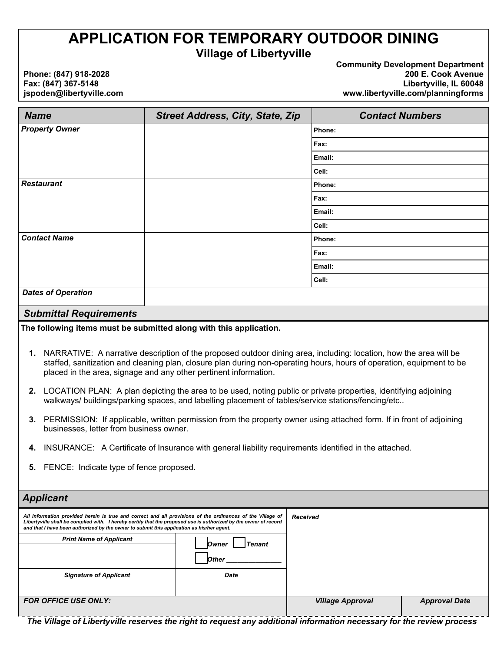# **APPLICATION FOR TEMPORARY OUTDOOR DINING**

**Village of Libertyville** 

**Phone: (847) 918-2028 Fax: (847) 367-5148 jspoden@libertyville.com**  **Community Development Department 200 E. Cook Avenue Libertyville, IL 60048 www.libertyville.com/planningforms** 

| <b>Name</b>                                                                                                                                                                                                                                                                                                                                                                                                                                                                                                                                                                                                                                                                                                                                                                                                                                                                             | <b>Street Address, City, State, Zip</b> | <b>Contact Numbers</b> |  |
|-----------------------------------------------------------------------------------------------------------------------------------------------------------------------------------------------------------------------------------------------------------------------------------------------------------------------------------------------------------------------------------------------------------------------------------------------------------------------------------------------------------------------------------------------------------------------------------------------------------------------------------------------------------------------------------------------------------------------------------------------------------------------------------------------------------------------------------------------------------------------------------------|-----------------------------------------|------------------------|--|
| <b>Property Owner</b>                                                                                                                                                                                                                                                                                                                                                                                                                                                                                                                                                                                                                                                                                                                                                                                                                                                                   |                                         | Phone:                 |  |
|                                                                                                                                                                                                                                                                                                                                                                                                                                                                                                                                                                                                                                                                                                                                                                                                                                                                                         |                                         | Fax:                   |  |
|                                                                                                                                                                                                                                                                                                                                                                                                                                                                                                                                                                                                                                                                                                                                                                                                                                                                                         |                                         | Email:                 |  |
|                                                                                                                                                                                                                                                                                                                                                                                                                                                                                                                                                                                                                                                                                                                                                                                                                                                                                         |                                         | Cell:                  |  |
| <b>Restaurant</b>                                                                                                                                                                                                                                                                                                                                                                                                                                                                                                                                                                                                                                                                                                                                                                                                                                                                       |                                         | Phone:                 |  |
|                                                                                                                                                                                                                                                                                                                                                                                                                                                                                                                                                                                                                                                                                                                                                                                                                                                                                         |                                         | Fax:                   |  |
|                                                                                                                                                                                                                                                                                                                                                                                                                                                                                                                                                                                                                                                                                                                                                                                                                                                                                         |                                         | Email:                 |  |
|                                                                                                                                                                                                                                                                                                                                                                                                                                                                                                                                                                                                                                                                                                                                                                                                                                                                                         |                                         | Cell:                  |  |
| <b>Contact Name</b>                                                                                                                                                                                                                                                                                                                                                                                                                                                                                                                                                                                                                                                                                                                                                                                                                                                                     |                                         | Phone:                 |  |
|                                                                                                                                                                                                                                                                                                                                                                                                                                                                                                                                                                                                                                                                                                                                                                                                                                                                                         |                                         | Fax:                   |  |
|                                                                                                                                                                                                                                                                                                                                                                                                                                                                                                                                                                                                                                                                                                                                                                                                                                                                                         |                                         | Email:                 |  |
|                                                                                                                                                                                                                                                                                                                                                                                                                                                                                                                                                                                                                                                                                                                                                                                                                                                                                         |                                         | Cell:                  |  |
| <b>Dates of Operation</b>                                                                                                                                                                                                                                                                                                                                                                                                                                                                                                                                                                                                                                                                                                                                                                                                                                                               |                                         |                        |  |
| <b>Submittal Requirements</b>                                                                                                                                                                                                                                                                                                                                                                                                                                                                                                                                                                                                                                                                                                                                                                                                                                                           |                                         |                        |  |
| The following items must be submitted along with this application.                                                                                                                                                                                                                                                                                                                                                                                                                                                                                                                                                                                                                                                                                                                                                                                                                      |                                         |                        |  |
| NARRATIVE: A narrative description of the proposed outdoor dining area, including: location, how the area will be<br>1.<br>staffed, sanitization and cleaning plan, closure plan during non-operating hours, hours of operation, equipment to be<br>placed in the area, signage and any other pertinent information.<br>LOCATION PLAN: A plan depicting the area to be used, noting public or private properties, identifying adjoining<br>2.<br>walkways/buildings/parking spaces, and labelling placement of tables/service stations/fencing/etc<br>PERMISSION: If applicable, written permission from the property owner using attached form. If in front of adjoining<br>3.<br>businesses, letter from business owner.<br>INSURANCE: A Certificate of Insurance with general liability requirements identified in the attached.<br>4.<br>5. FENCE: Indicate type of fence proposed. |                                         |                        |  |
| <b>Applicant</b>                                                                                                                                                                                                                                                                                                                                                                                                                                                                                                                                                                                                                                                                                                                                                                                                                                                                        |                                         |                        |  |
|                                                                                                                                                                                                                                                                                                                                                                                                                                                                                                                                                                                                                                                                                                                                                                                                                                                                                         |                                         |                        |  |
| All information provided herein is true and correct and all provisions of the ordinances of the Village of<br><b>Received</b><br>Libertyville shall be complied with. I hereby certify that the proposed use is authorized by the owner of record<br>and that I have been authorized by the owner to submit this application as his/her agent.                                                                                                                                                                                                                                                                                                                                                                                                                                                                                                                                          |                                         |                        |  |
| <b>Print Name of Applicant</b><br>Owner<br><b>Tenant</b>                                                                                                                                                                                                                                                                                                                                                                                                                                                                                                                                                                                                                                                                                                                                                                                                                                |                                         |                        |  |

# **Signature of Applicant Community Community Community Community Date** *FOR OFFICE USE ONLY: Village Approval Approval Date*

 *Other \_\_\_\_\_\_\_\_\_\_\_\_\_\_\_* 

*The Village of Libertyville reserves the right to request any additional information necessary for the review process*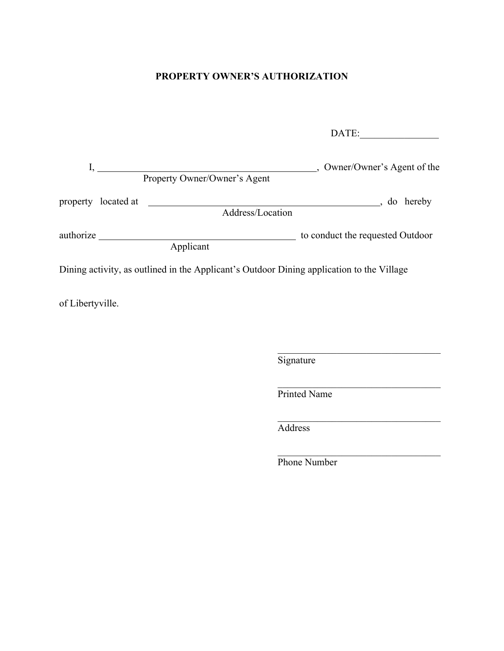### **PROPERTY OWNER'S AUTHORIZATION**

|                         |                                                                                           | DATE:                            |
|-------------------------|-------------------------------------------------------------------------------------------|----------------------------------|
| $\mathbf{I}, \_\_\_\_\$ | Property Owner/Owner's Agent                                                              | ., Owner/Owner's Agent of the    |
| property located at     | Address/Location                                                                          | $\rightarrow$ do hereby          |
| authorize               | Applicant                                                                                 | to conduct the requested Outdoor |
|                         | Dining activity, as outlined in the Applicant's Outdoor Dining application to the Village |                                  |
| of Libertyville.        |                                                                                           |                                  |

**Signature** 

Printed Name

Address

Phone Number

 $\mathcal{L}_\text{max}$  and  $\mathcal{L}_\text{max}$  and  $\mathcal{L}_\text{max}$  and  $\mathcal{L}_\text{max}$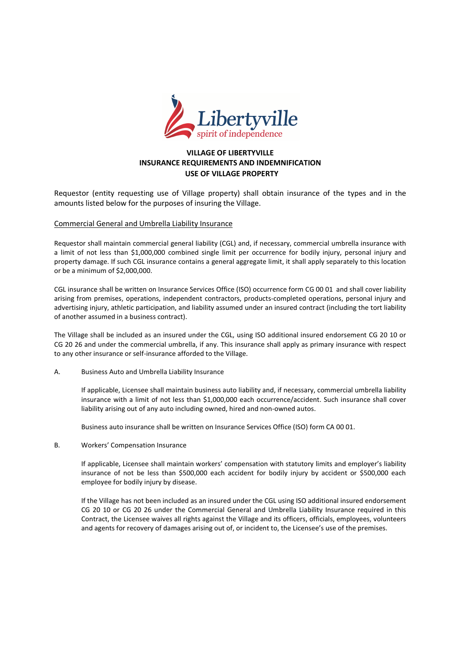

### **VILLAGE OF LIBERTYVILLE INSURANCE REQUIREMENTS AND INDEMNIFICATION USE OF VILLAGE PROPERTY**

Requestor (entity requesting use of Village property) shall obtain insurance of the types and in the amounts listed below for the purposes of insuring the Village.

#### Commercial General and Umbrella Liability Insurance

Requestor shall maintain commercial general liability (CGL) and, if necessary, commercial umbrella insurance with a limit of not less than \$1,000,000 combined single limit per occurrence for bodily injury, personal injury and property damage. If such CGL insurance contains a general aggregate limit, it shall apply separately to this location or be a minimum of \$2,000,000.

CGL insurance shall be written on Insurance Services Office (ISO) occurrence form CG 00 01 and shall cover liability arising from premises, operations, independent contractors, products-completed operations, personal injury and advertising injury, athletic participation, and liability assumed under an insured contract (including the tort liability of another assumed in a business contract).

The Village shall be included as an insured under the CGL, using ISO additional insured endorsement CG 20 10 or CG 20 26 and under the commercial umbrella, if any. This insurance shall apply as primary insurance with respect to any other insurance or self-insurance afforded to the Village.

A. Business Auto and Umbrella Liability Insurance

If applicable, Licensee shall maintain business auto liability and, if necessary, commercial umbrella liability insurance with a limit of not less than \$1,000,000 each occurrence/accident. Such insurance shall cover liability arising out of any auto including owned, hired and non-owned autos.

Business auto insurance shall be written on Insurance Services Office (ISO) form CA 00 01.

B. Workers' Compensation Insurance

If applicable, Licensee shall maintain workers' compensation with statutory limits and employer's liability insurance of not be less than \$500,000 each accident for bodily injury by accident or \$500,000 each employee for bodily injury by disease.

If the Village has not been included as an insured under the CGL using ISO additional insured endorsement CG 20 10 or CG 20 26 under the Commercial General and Umbrella Liability Insurance required in this Contract, the Licensee waives all rights against the Village and its officers, officials, employees, volunteers and agents for recovery of damages arising out of, or incident to, the Licensee's use of the premises.